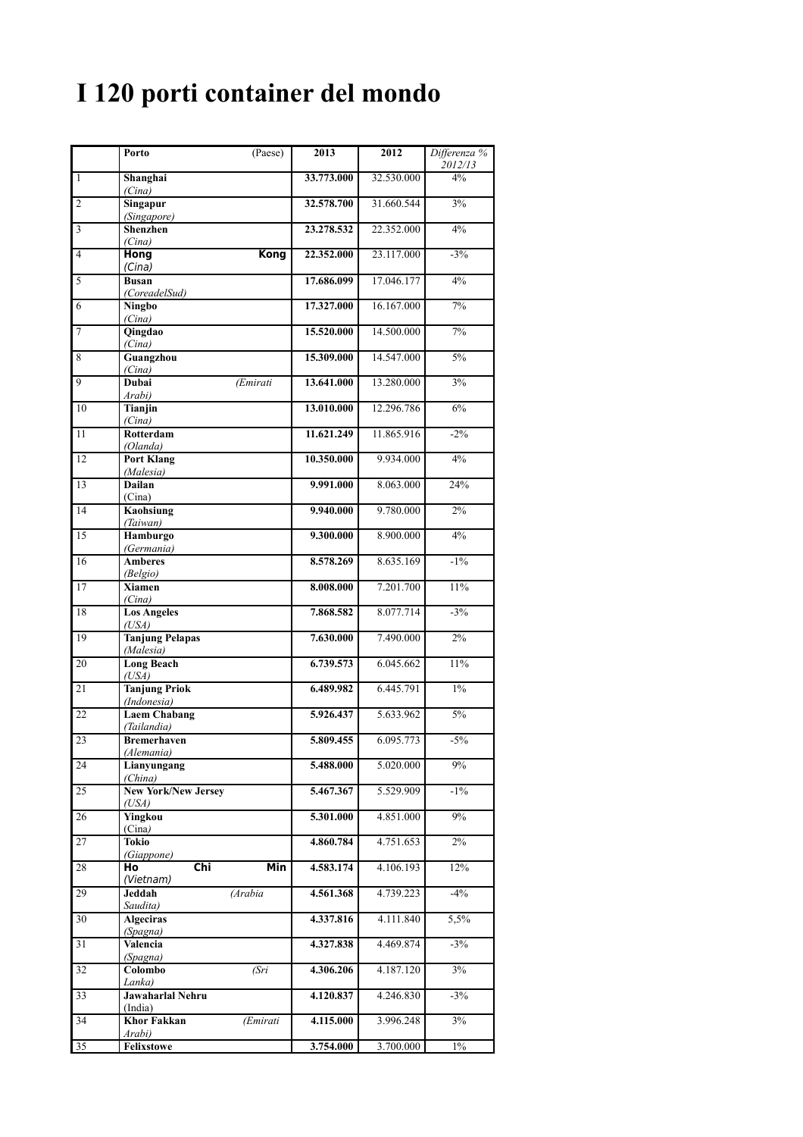## **I 120 porti container del mondo**

|                 | Porto<br>(Paese)                         | 2013       | 2012       | Differenza %<br>2012/13 |
|-----------------|------------------------------------------|------------|------------|-------------------------|
| 1               | Shanghai<br>(Cina)                       | 33.773.000 | 32.530.000 | 4%                      |
| $\overline{c}$  | Singapur<br>(Singapore)                  | 32.578.700 | 31.660.544 | 3%                      |
| 3               | <b>Shenzhen</b><br>(Cina)                | 23.278.532 | 22.352.000 | $4\%$                   |
| 4               | Kong<br>Hong<br>(Cina)                   | 22.352.000 | 23.117.000 | $-3%$                   |
| 5               | <b>Busan</b><br>(CoreadelSud)            | 17.686.099 | 17.046.177 | 4%                      |
| 6               | <b>Ningbo</b><br>(Cina)                  | 17.327.000 | 16.167.000 | 7%                      |
| $\overline{7}$  | Qingdao<br>(Cina)                        | 15.520.000 | 14.500.000 | 7%                      |
| 8               | Guangzhou<br>(Cina)                      | 15.309.000 | 14.547.000 | 5%                      |
| $\overline{9}$  | Dubai<br>(Emirati<br>Arabi)              | 13.641.000 | 13.280.000 | 3%                      |
| 10              | Tianjin<br>(Cina)                        | 13.010.000 | 12.296.786 | 6%                      |
| 11              | Rotterdam<br>(Olanda)                    | 11.621.249 | 11.865.916 | $-2\%$                  |
| 12              | <b>Port Klang</b><br>(Malesia)           | 10.350.000 | 9.934.000  | 4%                      |
| 13              | <b>Dailan</b><br>(Cina)                  | 9.991.000  | 8.063.000  | 24%                     |
| 14              | Kaohsiung<br>(Taiwan)                    | 9.940.000  | 9.780.000  | 2%                      |
| 15              | Hamburgo<br>(Germania)                   | 9.300.000  | 8.900.000  | 4%                      |
| 16              | <b>Amberes</b><br>(Belgio)               | 8.578.269  | 8.635.169  | $-1\%$                  |
| 17              | <b>Xiamen</b><br>(Cina)                  | 8.008.000  | 7.201.700  | 11%                     |
| 18              | <b>Los Angeles</b><br>(USA)              | 7.868.582  | 8.077.714  | $-3\%$                  |
| 19              | <b>Tanjung Pelapas</b><br>(Malesia)      | 7.630.000  | 7.490.000  | 2%                      |
| 20              | <b>Long Beach</b><br>(USA)               | 6.739.573  | 6.045.662  | 11%                     |
| 21              | <b>Tanjung Priok</b><br>(Indonesia)      | 6.489.982  | 6.445.791  | $1\%$                   |
| 22              | <b>Laem Chabang</b><br>(Tailandia)       | 5.926.437  | 5.633.962  | 5%                      |
| $\overline{23}$ | <b>Bremerhaven</b><br>(Alemania)         | 5.809.455  | 6.095.773  | $-5%$                   |
| 24              | Lianyungang<br>(China)                   | 5.488.000  | 5.020.000  | 9%                      |
| $\overline{25}$ | <b>New York/New Jersey</b><br>(USA)      | 5.467.367  | 5.529.909  | $-1\%$                  |
| 26              | Yingkou<br>(Cina)                        | 5.301.000  | 4.851.000  | 9%                      |
| 27              | Tokio<br>(Giappone)                      | 4.860.784  | 4.751.653  | $2\%$                   |
| 28              | Min<br>Chi<br>Ho<br>(Vietnam)            | 4.583.174  | 4.106.193  | 12%                     |
| 29              | Jeddah<br>(Arabia<br>Saudita)            | 4.561.368  | 4.739.223  | $-4%$                   |
| 30              | <b>Algeciras</b><br>(Spagna)             | 4.337.816  | 4.111.840  | 5,5%                    |
| 31              | Valencia<br>(Spagna)                     | 4.327.838  | 4.469.874  | $-3%$                   |
| 32              | Colombo<br>(Sri<br>Lanka)                | 4.306.206  | 4.187.120  | $3\%$                   |
| 33              | Jawaharlal Nehru<br>(India)              | 4.120.837  | 4.246.830  | $-3%$                   |
| 34              | <b>Khor Fakkan</b><br>(Emirati<br>Arabi) | 4.115.000  | 3.996.248  | $3\%$                   |
| 35              | Felixstowe                               | 3.754.000  | 3.700.000  | $1\%$                   |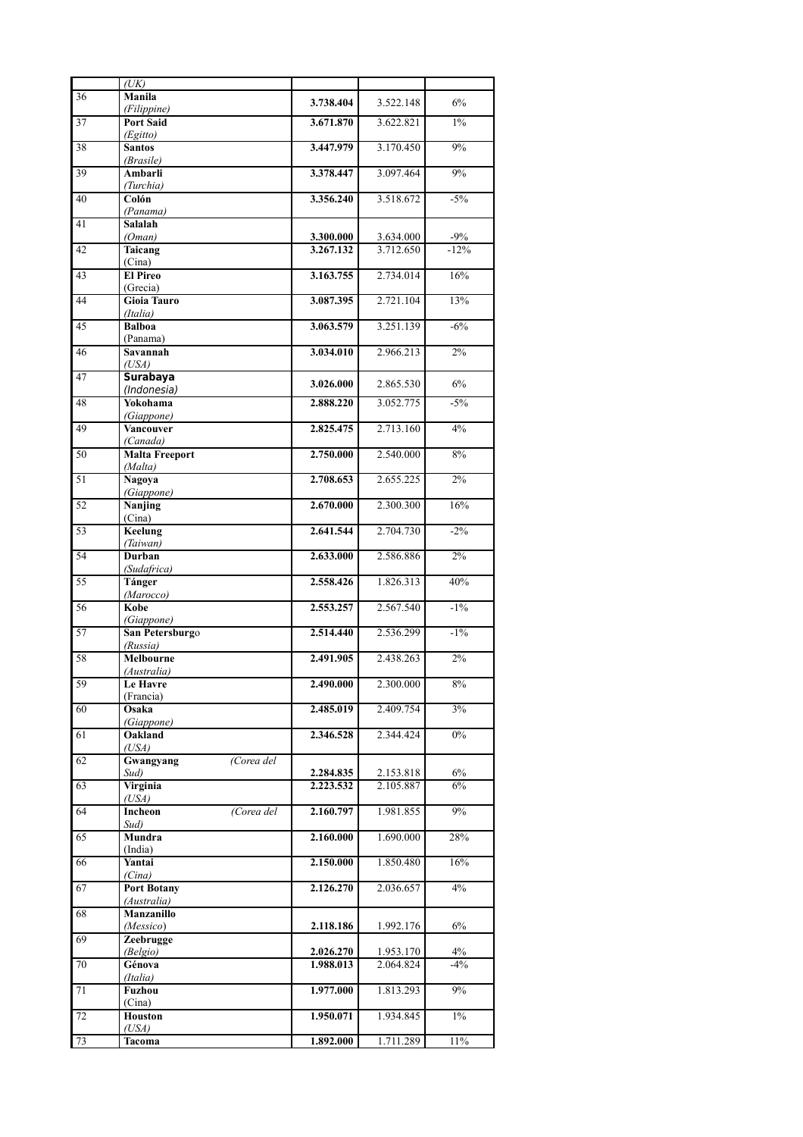|                 | (UK)                             |                        |                        |                  |
|-----------------|----------------------------------|------------------------|------------------------|------------------|
| 36              | Manila                           | 3.738.404              | 3.522.148              | 6%               |
| 37              | (Filippine)<br><b>Port Said</b>  | 3.671.870              | 3.622.821              | $1\%$            |
| 38              | (Egitto)<br><b>Santos</b>        | 3.447.979              | 3.170.450              | 9%               |
|                 | (Brasile)                        |                        |                        |                  |
| 39              | Ambarli<br>(Turchia)             | 3.378.447              | 3.097.464              | 9%               |
| 40              | Colón<br>(Panama)                | 3.356.240              | 3.518.672              | $-5\%$           |
| 41              | Salalah                          |                        |                        |                  |
| 42              | (Oman)<br>Taicang                | 3.300.000<br>3.267.132 | 3.634.000<br>3.712.650 | $-9%$<br>$-12%$  |
| 43              | (Cina)<br><b>El Pireo</b>        | 3.163.755              | 2.734.014              | 16%              |
|                 | (Grecia)                         |                        |                        |                  |
| 44              | <b>Gioia Tauro</b><br>(Italia)   | 3.087.395              | 2.721.104              | 13%              |
| 45              | <b>Balboa</b><br>(Panama)        | 3.063.579              | 3.251.139              | $-6%$            |
| 46              | Savannah                         | 3.034.010              | 2.966.213              | 2%               |
| 47              | (USA)<br><b>Surabaya</b>         | 3.026.000              | 2.865.530              | 6%               |
| 48              | (Indonesia)<br>Yokohama          | 2.888.220              | 3.052.775              | $-5\%$           |
|                 | (Giappone)                       |                        |                        |                  |
| 49              | <b>Vancouver</b><br>(Canada)     | 2.825.475              | 2.713.160              | 4%               |
| 50              | <b>Malta Freeport</b><br>(Malta) | 2.750.000              | 2.540.000              | 8%               |
| 51              | <b>Nagoya</b>                    | 2.708.653              | 2.655.225              | $\overline{2\%}$ |
| 52              | (Giappone)<br>Nanjing            | 2.670.000              | 2.300.300              | 16%              |
| $\overline{53}$ | (Cina)<br>Keelung                | 2.641.544              | 2.704.730              | $-2\%$           |
|                 | (Taiwan)<br>Durban               | 2.633.000              | 2.586.886              | $2\%$            |
| 54              | (Sudafrica)                      |                        |                        |                  |
| 55              | Tánger<br>(Marocco)              | 2.558.426              | 1.826.313              | 40%              |
| $5\overline{6}$ | Kobe<br>(Giappone)               | 2.553.257              | 2.567.540              | $-1\%$           |
| 57              | San Petersburgo                  | 2.514.440              | 2.536.299              | $-1\%$           |
| 58              | (Russia)<br><b>Melbourne</b>     | 2.491.905              | 2.438.263              | 2%               |
|                 | (Australia)                      | <b>2.490.000</b>       |                        |                  |
| 59              | <b>Le Havre</b><br>(Francia)     |                        | 2.300.000              | 8%               |
| 60              | Osaka<br>(Giappone)              | 2.485.019              | 2.409.754              | 3%               |
| 61              | Oakland<br>(USA)                 | 2.346.528              | 2.344.424              | $0\%$            |
| 62              | Gwangyang<br>(Corea del          |                        |                        |                  |
| 63              | Sud)<br>Virginia                 | 2.284.835<br>2.223.532 | 2.153.818<br>2.105.887 | $6\%$<br>6%      |
| 64              | (USA)<br>(Corea del<br>Incheon   | 2.160.797              | 1.981.855              | 9%               |
|                 | Sud)                             |                        |                        |                  |
| 65              | Mundra<br>(India)                | 2.160.000              | 1.690.000              | 28%              |
| 66              | Yantai<br>(Cina)                 | 2.150.000              | 1.850.480              | 16%              |
| 67              | <b>Port Botany</b>               | 2.126.270              | 2.036.657              | $4\%$            |
| 68              | (Australia)<br>Manzanillo        |                        |                        |                  |
| 69              | (Messico)<br>Zeebrugge           | 2.118.186              | 1.992.176              | $6\%$            |
| 70              | (Belgio)<br>Génova               | 2.026.270<br>1.988.013 | 1.953.170<br>2.064.824 | 4%<br>$-4%$      |
|                 | (Italia)                         |                        |                        |                  |
| 71              | Fuzhou<br>(Cina)                 | 1.977.000              | 1.813.293              | 9%               |
| 72              | Houston<br>(USA)                 | 1.950.071              | 1.934.845              | $1\%$            |
| 73              | Tacoma                           | 1.892.000              | 1.711.289              | 11%              |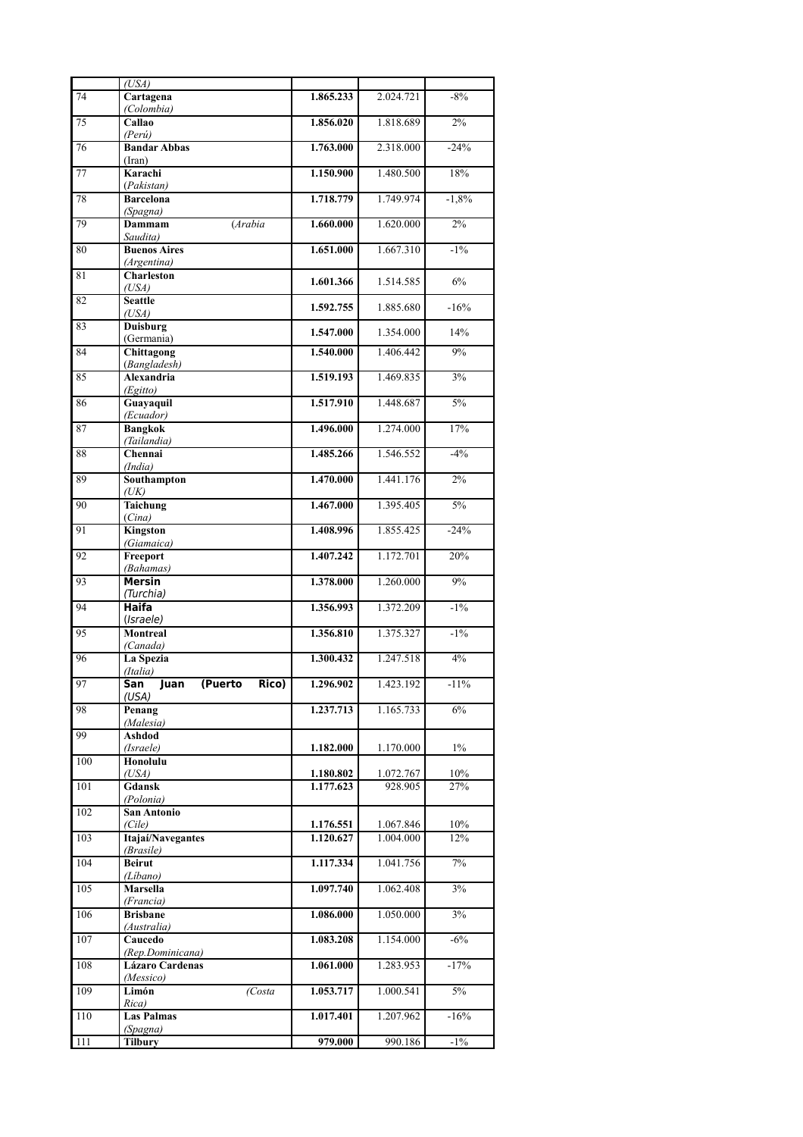|     | (USA)                                       |                        |                        |                 |
|-----|---------------------------------------------|------------------------|------------------------|-----------------|
| 74  | Cartagena<br>(Colombia)                     | 1.865.233              | 2.024.721              | $-8%$           |
| 75  | Callao<br>(Perú)                            | 1.856.020              | 1.818.689              | $2\%$           |
| 76  | <b>Bandar Abbas</b>                         | 1.763.000              | 2.318.000              | $-24%$          |
| 77  | (Iran)<br>Karachi                           | 1.150.900              | 1.480.500              | 18%             |
| 78  | (Pakistan)<br><b>Barcelona</b>              | 1.718.779              | 1.749.974              | $-1,8%$         |
| 79  | (Spagna)<br>Dammam<br>(Arabia               | 1.660.000              | 1.620.000              | 2%              |
| 80  | Saudita)<br><b>Buenos Aires</b>             | 1.651.000              | 1.667.310              | $-1\%$          |
| 81  | (Argentina)<br><b>Charleston</b>            | 1.601.366              | 1.514.585              | 6%              |
| 82  | (USA)<br><b>Seattle</b>                     | 1.592.755              | 1.885.680              | $-16%$          |
| 83  | (USA)<br><b>Duisburg</b>                    | 1.547.000              | 1.354.000              | 14%             |
| 84  | (Germania)<br>Chittagong                    | 1.540.000              | 1.406.442              | 9%              |
| 85  | (Bangladesh)<br>Alexandria                  | 1.519.193              | 1.469.835              | 3%              |
| 86  | (Egitto)<br>Guayaquil                       | 1.517.910              | 1.448.687              | $5\%$           |
| 87  | (Ecuador)<br><b>Bangkok</b>                 | 1.496.000              | 1.274.000              | 17%             |
| 88  | (Tailandia)<br>Chennai                      | 1.485.266              | 1.546.552              | $-4%$           |
| 89  | (India)<br>Southampton                      | 1.470.000              | 1.441.176              | 2%              |
| 90  | (UK)<br>Taichung                            | 1.467.000              | 1.395.405              | $\frac{5\%}{ }$ |
| 91  | (Cina)<br>Kingston                          | 1.408.996              | 1.855.425              | $-24%$          |
| 92  | (Giamaica)<br>Freeport                      | 1.407.242              | 1.172.701              | 20%             |
| 93  | (Bahamas)<br><b>Mersin</b>                  | 1.378.000              | 1.260.000              | 9%              |
| 94  | (Turchia)<br>Haifa                          | 1.356.993              | 1.372.209              | $-1\%$          |
| 95  | (Israele)<br><b>Montreal</b>                | 1.356.810              | 1.375.327              | $-1\%$          |
| 96  | (Canada)<br>La Spezia                       | 1.300.432              | 1.247.518              | 4%              |
| 97  | (Italia)<br>(Puerto<br>San<br>Juan<br>RICO) | 1.296.902              | 1.423.192              | $-11%$          |
| 98  | (USA)<br>Penang                             | 1.237.713              | 1.165.733              | 6%              |
| 99  | (Malesia)<br>Ashdod                         |                        |                        |                 |
| 100 | (Israele)<br>Honolulu                       | 1.182.000              | 1.170.000              | $1\%$           |
| 101 | (USA)<br>Gdansk                             | 1.180.802<br>1.177.623 | 1.072.767<br>928.905   | 10%<br>27%      |
| 102 | (Polonia)<br>San Antonio                    |                        |                        |                 |
| 103 | (Cile)<br>Itajaí/Navegantes                 | 1.176.551<br>1.120.627 | 1.067.846<br>1.004.000 | 10%<br>12%      |
| 104 | (Brasile)<br><b>Beirut</b>                  | 1.117.334              | 1.041.756              | 7%              |
| 105 | (Libano)<br><b>Marsella</b>                 | 1.097.740              | 1.062.408              | 3%              |
| 106 | (Francia)<br><b>Brisbane</b>                | 1.086.000              | 1.050.000              | 3%              |
| 107 | (Australia)<br>Caucedo                      | 1.083.208              | 1.154.000              | $-6%$           |
| 108 | (Rep.Dominicana)<br><b>Lázaro Cardenas</b>  | 1.061.000              | 1.283.953              | $-17%$          |
| 109 | (Messico)<br>Limón<br>(Costa                | 1.053.717              | 1.000.541              | 5%              |
| 110 | Rica)<br><b>Las Palmas</b>                  | 1.017.401              | 1.207.962              | $-16%$          |
| 111 | (Spagna)<br><b>Tilbury</b>                  | 979.000                | 990.186                | $-1\%$          |